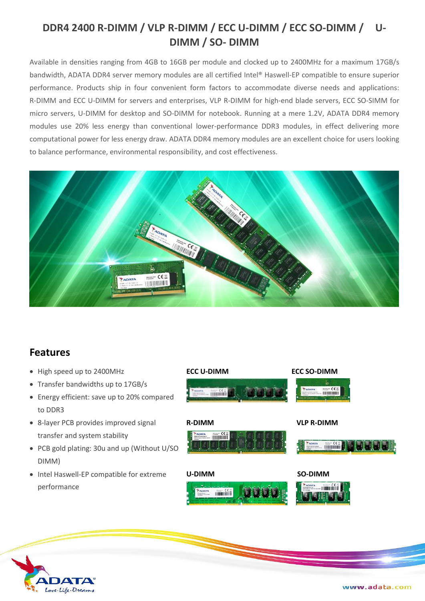## **DDR4 2400 R-DIMM / VLP R-DIMM / ECC U-DIMM / ECC SO-DIMM / U-DIMM / SO- DIMM**

Available in densities ranging from 4GB to 16GB per module and clocked up to 2400MHz for a maximum 17GB/s bandwidth, ADATA DDR4 server memory modules are all certified Intel® Haswell-EP compatible to ensure superior performance. Products ship in four convenient form factors to accommodate diverse needs and applications: R-DIMM and ECC U-DIMM for servers and enterprises, VLP R-DIMM for high-end blade servers, ECC SO-SIMM for micro servers, U-DIMM for desktop and SO-DIMM for notebook. Running at a mere 1.2V, ADATA DDR4 memory modules use 20% less energy than conventional lower-performance DDR3 modules, in effect delivering more computational power for less energy draw. ADATA DDR4 memory modules are an excellent choice for users looking to balance performance, environmental responsibility, and cost effectiveness.



## **Features**

- High speed up to 2400MHz
- Transfer bandwidths up to 17GB/s
- Energy efficient: save up to 20% compared to DDR3
- 8-layer PCB provides improved signal transfer and system stability
- PCB gold plating: 30u and up (Without U/SO DIMM)
- Intel Haswell-EP compatible for extreme performance



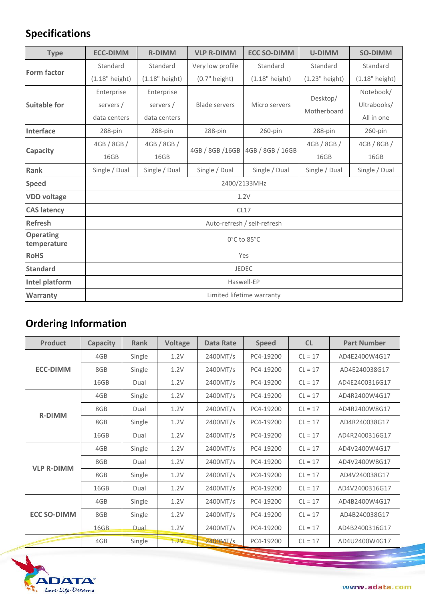## **Specifications**

| <b>Type</b>                     | <b>ECC-DIMM</b>             | <b>R-DIMM</b>    | <b>VLP R-DIMM</b>                   | <b>ECC SO-DIMM</b> | <b>U-DIMM</b>           | <b>SO-DIMM</b>   |  |  |
|---------------------------------|-----------------------------|------------------|-------------------------------------|--------------------|-------------------------|------------------|--|--|
| <b>Form factor</b>              | Standard                    | Standard         | Very low profile                    | Standard           | Standard                | Standard         |  |  |
|                                 | $(1.18"$ height)            | $(1.18"$ height) | $(0.7"$ height)<br>$(1.18"$ height) |                    | (1.23" height)          | $(1.18"$ height) |  |  |
| <b>Suitable for</b>             | Enterprise                  | Enterprise       |                                     | Micro servers      | Desktop/<br>Motherboard | Notebook/        |  |  |
|                                 | servers /                   | servers /        | <b>Blade servers</b>                |                    |                         | Ultrabooks/      |  |  |
|                                 | data centers                | data centers     |                                     |                    |                         | All in one       |  |  |
| <b>Interface</b>                | 288-pin                     | 288-pin          | 288-pin                             | $260$ -pin         | 288-pin                 | $260$ -pin       |  |  |
| Capacity                        | 4GB / 8GB /                 | 4GB / 8GB /      | 4GB / 8GB / 16GB                    | 4GB / 8GB / 16GB   | 4GB / 8GB /             | 4GB / 8GB /      |  |  |
|                                 | 16GB                        | 16GB             |                                     |                    | 16GB                    | 16GB             |  |  |
| <b>Rank</b>                     | Single / Dual               | Single / Dual    | Single / Dual                       | Single / Dual      | Single / Dual           | Single / Dual    |  |  |
| <b>Speed</b>                    | 2400/2133MHz                |                  |                                     |                    |                         |                  |  |  |
| <b>VDD voltage</b>              | 1.2V                        |                  |                                     |                    |                         |                  |  |  |
| <b>CAS latency</b>              | CL17                        |                  |                                     |                    |                         |                  |  |  |
| <b>Refresh</b>                  | Auto-refresh / self-refresh |                  |                                     |                    |                         |                  |  |  |
| <b>Operating</b><br>temperature | 0°C to 85°C                 |                  |                                     |                    |                         |                  |  |  |
| <b>RoHS</b>                     | Yes                         |                  |                                     |                    |                         |                  |  |  |
| <b>Standard</b>                 | <b>JEDEC</b>                |                  |                                     |                    |                         |                  |  |  |
| Intel platform                  | Haswell-EP                  |                  |                                     |                    |                         |                  |  |  |
| <b>Warranty</b>                 | Limited lifetime warranty   |                  |                                     |                    |                         |                  |  |  |

## **Ordering Information**

| <b>Product</b>     | <b>Capacity</b> | <b>Rank</b> | Voltage | <b>Data Rate</b> | <b>Speed</b> | <b>CL</b> | <b>Part Number</b> |
|--------------------|-----------------|-------------|---------|------------------|--------------|-----------|--------------------|
| <b>ECC-DIMM</b>    | 4GB             | Single      | 1.2V    | 2400MT/s         | PC4-19200    | $CL = 17$ | AD4E2400W4G17      |
|                    | 8GB             | Single      | 1.2V    | 2400MT/s         | PC4-19200    | $CL = 17$ | AD4E240038G17      |
|                    | 16GB            | Dual        | 1.2V    | 2400MT/s         | PC4-19200    | $CL = 17$ | AD4E2400316G17     |
| <b>R-DIMM</b>      | 4GB             | Single      | 1.2V    | 2400MT/s         | PC4-19200    | $CL = 17$ | AD4R2400W4G17      |
|                    | 8GB             | Dual        | 1.2V    | 2400MT/s         | PC4-19200    | $CL = 17$ | AD4R2400W8G17      |
|                    | 8GB             | Single      | 1.2V    | 2400MT/s         | PC4-19200    | $CL = 17$ | AD4R240038G17      |
|                    | 16GB            | Dual        | 1.2V    | 2400MT/s         | PC4-19200    | $CL = 17$ | AD4R2400316G17     |
| <b>VLP R-DIMM</b>  | 4GB             | Single      | 1.2V    | 2400MT/s         | PC4-19200    | $CL = 17$ | AD4V2400W4G17      |
|                    | 8GB             | Dual        | 1.2V    | 2400MT/s         | PC4-19200    | $CL = 17$ | AD4V2400W8G17      |
|                    | 8GB             | Single      | 1.2V    | 2400MT/s         | PC4-19200    | $CL = 17$ | AD4V240038G17      |
|                    | 16GB            | Dual        | 1.2V    | 2400MT/s         | PC4-19200    | $CL = 17$ | AD4V2400316G17     |
| <b>ECC SO-DIMM</b> | 4GB             | Single      | 1.2V    | 2400MT/s         | PC4-19200    | $CL = 17$ | AD4B2400W4G17      |
|                    | 8GB             | Single      | 1.2V    | 2400MT/s         | PC4-19200    | $CL = 17$ | AD4B240038G17      |
|                    | 16GB            | Dual        | 1.2V    | 2400MT/s         | PC4-19200    | $CL = 17$ | AD4B2400316G17     |
|                    | 4GB             | Single      | 1.2V    | 2400MT/s         | PC4-19200    | $CL = 17$ | AD4U2400W4G17      |